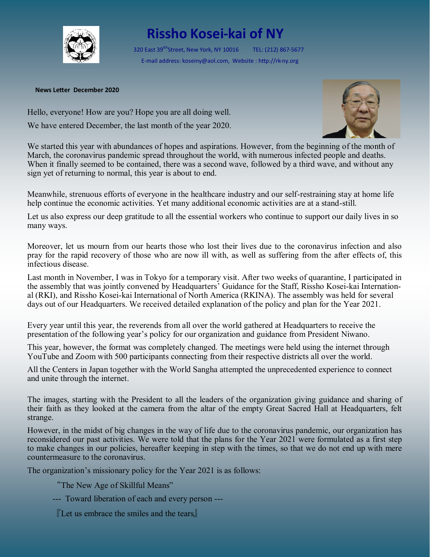

## **Rissho Kosei-kai of NY**

320 East 39<sup>tth</sup>Street, New York, NY 10016 TEL: (212) 867-5677 E-mail address: koseiny@aol.com, Website : http://rk-ny.org

## **News Letter December 2020**

Hello, everyone! How are you? Hope you are all doing well. We have entered December, the last month of the year 2020.



We started this year with abundances of hopes and aspirations. However, from the beginning of the month of March, the coronavirus pandemic spread throughout the world, with numerous infected people and deaths. When it finally seemed to be contained, there was a second wave, followed by a third wave, and without any sign yet of returning to normal, this year is about to end.

Meanwhile, strenuous efforts of everyone in the healthcare industry and our self-restraining stay at home life help continue the economic activities. Yet many additional economic activities are at a stand-still.

Let us also express our deep gratitude to all the essential workers who continue to support our daily lives in so many ways.

Moreover, let us mourn from our hearts those who lost their lives due to the coronavirus infection and also pray for the rapid recovery of those who are now ill with, as well as suffering from the after effects of, this infectious disease.

Last month in November, I was in Tokyo for a temporary visit. After two weeks of quarantine, I participated in the assembly that was jointly convened by Headquarters' Guidance for the Staff, Rissho Kosei-kai International (RKI), and Rissho Kosei-kai International of North America (RKINA). The assembly was held for several days out of our Headquarters. We received detailed explanation of the policy and plan for the Year 2021.

Every year until this year, the reverends from all over the world gathered at Headquarters to receive the presentation of the following year's policy for our organization and guidance from President Niwano.

This year, however, the format was completely changed. The meetings were held using the internet through YouTube and Zoom with 500 participants connecting from their respective districts all over the world.

All the Centers in Japan together with the World Sangha attempted the unprecedented experience to connect and unite through the internet.

The images, starting with the President to all the leaders of the organization giving guidance and sharing of their faith as they looked at the camera from the altar of the empty Great Sacred Hall at Headquarters, felt strange.

However, in the midst of big changes in the way of life due to the coronavirus pandemic, our organization has reconsidered our past activities. We were told that the plans for the Year 2021 were formulated as a first step to make changes in our policies, hereafter keeping in step with the times, so that we do not end up with mere countermeasure to the coronavirus.

The organization's missionary policy for the Year 2021 is as follows:

"The New Age of Skillful Means"

--- Toward liberation of each and every person ---

『Let us embrace the smiles and the tears』